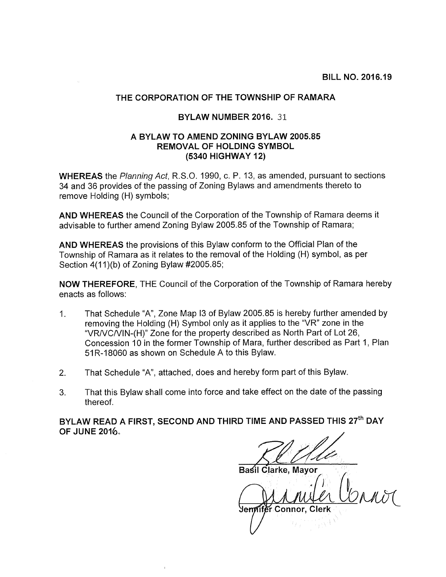## THE CORPORATION OF THE TOWNSHIP OF RAMARA

## BYLAW NUMBER 2016. 31

## A BYLAW TO AMEND ZONING BYLAW 2005.85 REMOVAL OF HOLDING SYMBOL (5340 HIGHWAY 12)

WHEREAS the Planning Act, R.S.O. 1990, c. P. 13, as amended, pursuant to sections 34 and 36 provides of the passing of Zoning Bylaws and amendments thereto to remove Holding (H) symbols;

AND WHEREAS the Council of the Corporation of the Township of Ramara deems it advisable to further amend Zoning Bylaw 2005.85 of the Township of Ramara;

AND WHEREAS the provisions of this Bylaw conform to the Official Plan of the Township of Ramara as it relates to the removal of the Holding (H) symbol, as per Section 4(11)(b) of Zoning Bylaw #2005.85;

NOW THEREFORE, THE Council of the Corporation of the Township of Ramara hereby enacts as follows:

- 1. That Schedule "A", Zone Map <sup>13</sup> of Bylaw 2005.85 is hereby further amended by removing the Holding (H) Symbol only as it applies to the "VR" zone in the "VRNCNIN-(H)" Zone for the property described as North Part of Lot 26, Concession 10 in the former Township of Mara, further described as Part 1, Plan 51 R-18060 as shown on Schedule A to this Bylaw.
- 2. That Schedule "A", attached, does and hereby form part of this Bylaw.
- 3. That this Bylaw shall come into force and take effect on the date of the passing thereof.

BYLAW READ A FIRST, SECOND AND THIRD TIME AND PASSED THIS 27<sup>th</sup> DAY OF JUNE 2016~

Basil Clarke, Mayor

Jennifer Connor, Clerk